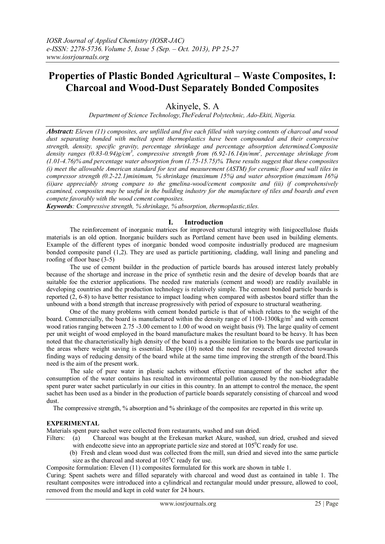# **Properties of Plastic Bonded Agricultural – Waste Composites, I: Charcoal and Wood-Dust Separately Bonded Composites**

Akinyele, S. A

*Department of Science Technology,TheFederal Polytechnic, Ado-Ekiti, Nigeria.*

*Abstract: Eleven (11) composites, are unfilled and five each filled with varying contents of charcoal and wood dust separating bonded with melted spent thermoplastics have been compounded and their compressive strength, density, specific gravity, percentage shrinkage and percentage absorption determined.Composite density ranges (0.83-0.94)g/cm<sup>3</sup> , compressive strength from (6.92-16.14)n/mm<sup>2</sup> , percentage shrinkage from (1.01-4.76)% and percentage water absorption from (1.75-15.75)%. These results suggest that these composites (i) meet the allowable American standard for test and measurement (ASTM) for ceramic floor and wall tiles in compressor strength (0.2-22.1)minimum, % shrinkage (maximum 15%) and water absorption (maximum 16%) (ii)are appreciably strong compare to the gmelina-wood/cement composite and (iii) if comprehensively examined, composites may be useful in the building industry for the manufacture of tiles and boards and even compete favorably with the wood cement composites.*

*Keywords: Compressive strength, % shrinkage, % absorption, thermoplastic,tiles.*

## **I. Introduction**

The reinforcement of inorganic matrices for improved structural integrity with linigocellulose fluids materials is an old option. Inorganic builders such as Portland cement have been used in building elements. Example of the different types of inorganic bonded wood composite industrially produced are magnesium bonded composite panel (1,2). They are used as particle partitioning, cladding, wall lining and paneling and roofing of floor base (3-5)

The use of cement builder in the production of particle boards has aroused interest lately probably because of the shortage and increase in the price of synthetic resin and the desire of develop boards that are suitable foe the exterior applications. The needed raw materials (cement and wood) are readily available in developing countries and the production technology is relatively simple. The cement bonded particle boards is reported (2, 6-8) to have better resistance to impact loading when compared with asbestos board stiffer than the unbound with a bond strength that increase progressively with period of exposure to structural weathering.

One of the many problems with cement bonded particle is that of which relates to the weight of the board. Commercially, the board is manufactured within the density range of 1100-1300kg/m<sup>3</sup> and with cement wood ratios ranging between 2.75 -3.00 cement to 1.00 of wood on weight basis (9). The large quality of cement per unit weight of wood employed in the board manufacture makes the resultant board to be heavy. It has been noted that the characteristically high density of the board is a possible limitation to the boards use particular in the areas where weight saving is essential. Deppe (10) noted the need for research effort directed towards finding ways of reducing density of the board while at the same time improving the strength of the board.This need is the aim of the present work.

The sale of pure water in plastic sachets without effective management of the sachet after the consumption of the water contains has resulted in environmental pollution caused by the non-biodegradable spent purer water sachet particularly in our cities in this country. In an attempt to control the menace, the spent sachet has been used as a binder in the production of particle boards separately consisting of charcoal and wood dust.

The compressive strength, % absorption and % shrinkage of the composites are reported in this write up.

### **EXPERIMENTAL**

Materials spent pure sachet were collected from restaurants, washed and sun dried.

- Filters: (a) Charcoal was bought at the Erekesan market Akure, washed, sun dried, crushed and sieved with endecotte sieve into an appropriate particle size and stored at  $105^{\circ}$ C ready for use.
	- (b) Fresh and clean wood dust was collected from the mill, sun dried and sieved into the same particle size as the charcoal and stored at  $105^{\circ}$ C ready for use.

Composite formulation: Eleven (11) composites formulated for this work are shown in table 1.

Curing: Spent sachets were and filled separately with charcoal and wood dust as contained in table 1. The resultant composites were introduced into a cylindrical and rectangular mould under pressure, allowed to cool, removed from the mould and kept in cold water for 24 hours.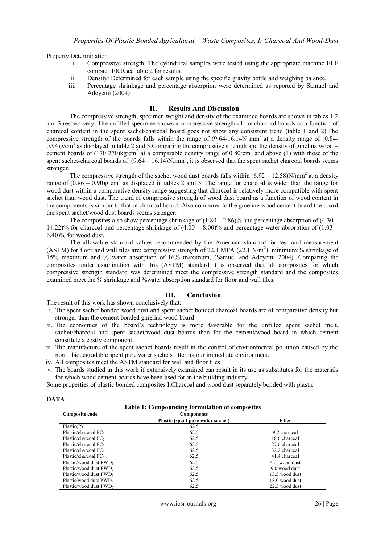Property Determination

- i. Compressive strength: The cylindrical samples were tested using the appropriate machine ELE compact 1000.see table 2 for results.
- ii. Density: Determined for each sample using the specific gravity bottle and weighing balance.
- iii. Percentage shrinkage and percentage absorption were determined as reported by Samuel and Adeyemi (2004)

#### **II. Results And Discussion**

The compressive strength, specimen weight and density of the examined boards are shown in tables 1,2 and 3 respectively. The unfilled specimen shows a compressive strength of the charcoal boards as a function of charcoal content in the spent sachet/charcoal board goes not show any consistent trend (table 1 and 2).The compressive strength of the boards falls within the range of  $(9.64-16.14N \text{ mm}^2$  at a density range of  $(0.84-16.14N \text{ mm}^2)$  $0.94)$ g/cm<sup>3</sup> as displayed in table 2 and 3. Comparing the compressive strength and the density of gmelina wood – cement boards of  $(170\ 270)$ kg/cm<sup>2</sup> at a comparable density range of  $0.80$ /cm<sup>3</sup> and above (1) with those of the spent sachet-charcoal boards of  $(9.64 - 16.14)N/mm^2$ , it is observed that the spent sachet charcoal boards seems stronger.

The compressive strength of the sachet wood dust boards falls within  $(6.92 - 12.58)N/mm^2$  at a density range of  $(0.86 - 0.90)$ g cm<sup>2</sup> as displaced in tables 2 and 3. The range for charcoal is wider than the range for wood dust within a comparative density range suggesting that charcoal is relatively more compatible with spent sachet than wood dust. The trend of compressive strength of wood dust board as a function of wood content in the components is similar to that of charcoal board: Also compared to the gmeline wood cement board the board the spent sachet/wood dust boards seems stronger.

The composites also show percentage shrinkage of  $(1.80 - 2.86)$ % and percentage absorption of  $(4.30 -$ 14.22)% for charcoal and percentage shrinkage of  $(4.00 - 8.00)$ % and percentage water absorption of  $(1.03 - 1.03)$ 6.40)% for wood dust.

The allowable standard values recommended by the American standard for test and measurement (ASTM) for floor and wall tiles are: compressive strength of 22.1 MPA (22.1 N/m<sup>2</sup>), minimum:% shrinkage of 15% maximum and % water absorption of 16% maximum, (Samuel and Adeyemi 2004). Comparing the composites under examination with this (ASTM) standard it is observed that all composites for which compressive strength standard was determined meet the compressive strength standard and the composites examined meet the % shrinkage and %water absorption standard for floor and wall tiles.

### **III. Conclusion**

The result of this work has shown conclusively that:

- i. The spent sachet bonded wood dust and spent sachet bonded charcoal boards are of comparative density but stronger than the cement bonded gmelina wood board
- ii. The economics of the board's technology is more favorable for the unfilled spent sachet melt, sachet/charcoal and spent sachet/wood dust boards than for the cement/wood board in which cement constitute a costly component.
- iii. The manufacture of the spent sachet boards result in the control of environmental pollution caused by the non – biodegradable spent pure water sachets littering our immediate environment.
- iv. All composites meet the ASTM standard for wall and floor tiles
- v. The boards studied in this work if extensively examined can result in its use as substitutes for the materials for which wood cement boards have been used for in the building industry.

Some properties of plastic bonded composites I:Charcoal and wood dust separately bonded with plastic

### **DATA:**

**Table 1: Compounding formulation of composites**

| Composite code                     | <b>Components</b>                 |                |  |
|------------------------------------|-----------------------------------|----------------|--|
|                                    | Plastic (spent pure water sachet) | <b>Filler</b>  |  |
| Plastic(P)                         | 62.5                              |                |  |
| Plastic/charcoal $PC1$             | 62.5                              | 9.2 charcoal   |  |
| Plastic/charcoal PC <sub>2</sub>   | 62.5                              | 18.6 charcoal  |  |
| Plastic/charcoal $PC3$             | 62.5                              | 27.6 charcoal  |  |
| Plastic/charcoal $PC4$             | 62.5                              | 32.2 charcoal  |  |
| Plastic/charcoal PC,               | 62.5                              | 41.4 charcoal  |  |
| Plastic/wood dust PWD <sub>1</sub> | 62.5                              | 4.5 wood dust  |  |
| Plastic/wood dust PWD <sub>2</sub> | 62.5                              | 9.0 wood dust  |  |
| Plastic/wood dust PWD <sub>3</sub> | 62.5                              | 13.5 wood dust |  |
| Plastis/wood dust PWD <sub>4</sub> | 62.5                              | 18.0 wood dust |  |
| Plastic/wood dust PWD <sub>5</sub> | 62.5                              | 22.5 wood dust |  |